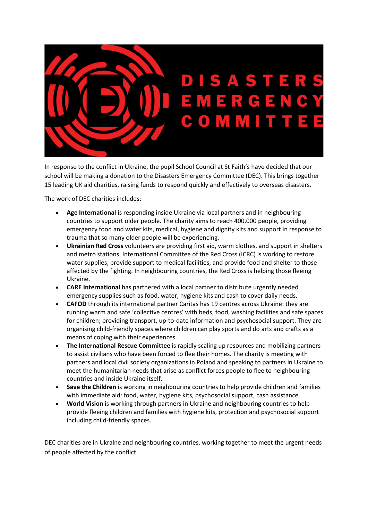

In response to the conflict in Ukraine, the pupil School Council at St Faith's have decided that our school will be making a donation to the Disasters Emergency Committee (DEC). This brings together 15 leading UK aid charities, raising funds to respond quickly and effectively to overseas disasters.

The work of DEC charities includes:

- **Age International** is responding inside Ukraine via local partners and in neighbouring countries to support older people. The charity aims to reach 400,000 people, providing emergency food and water kits, medical, hygiene and dignity kits and support in response to trauma that so many older people will be experiencing.
- **Ukrainian Red Cross** volunteers are providing first aid, warm clothes, and support in shelters and metro stations. International Committee of the Red Cross (ICRC) is working to restore water supplies, provide support to medical facilities, and provide food and shelter to those affected by the fighting. In neighbouring countries, the Red Cross is helping those fleeing Ukraine.
- **CARE International** has partnered with a local partner to distribute urgently needed emergency supplies such as food, water, hygiene kits and cash to cover daily needs.
- **CAFOD** through its international partner Caritas has 19 centres across Ukraine: they are running warm and safe 'collective centres' with beds, food, washing facilities and safe spaces for children; providing transport, up-to-date information and psychosocial support. They are organising child-friendly spaces where children can play sports and do arts and crafts as a means of coping with their experiences.
- **The International Rescue Committee** is rapidly scaling up resources and mobilizing partners to assist civilians who have been forced to flee their homes. The charity is meeting with partners and local civil society organizations in Poland and speaking to partners in Ukraine to meet the humanitarian needs that arise as conflict forces people to flee to neighbouring countries and inside Ukraine itself.
- **Save the Children** is working in neighbouring countries to help provide children and families with immediate aid: food, water, hygiene kits, psychosocial support, cash assistance.
- **World Vision** is working through partners in Ukraine and neighbouring countries to help provide fleeing children and families with hygiene kits, protection and psychosocial support including child-friendly spaces.

DEC charities are in Ukraine and neighbouring countries, working together to meet the urgent needs of people affected by the conflict.